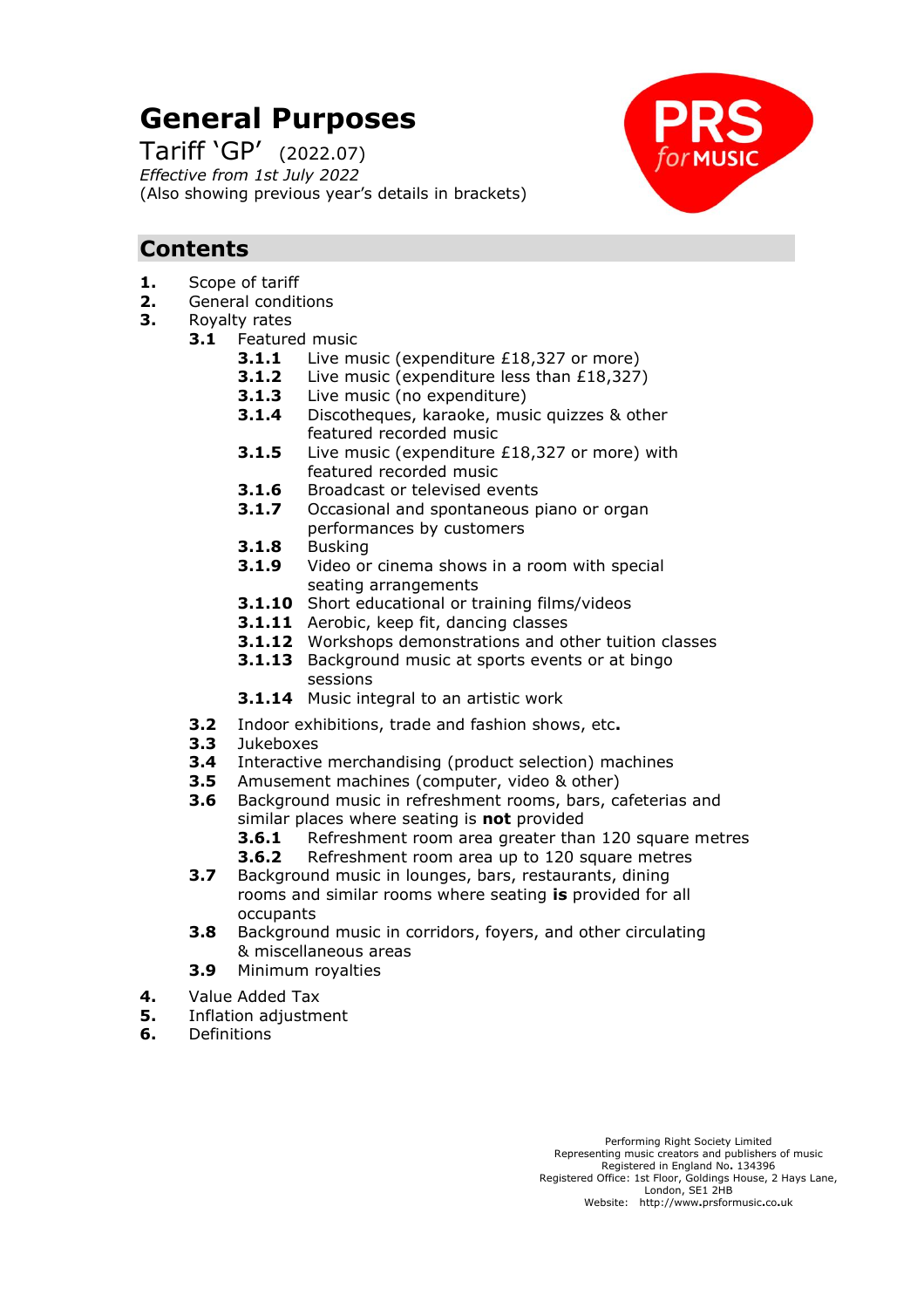# **General Purposes**

Tariff 'GP' (2022.07) *Effective from 1st July 2022* (Also showing previous year's details in brackets)



# **Contents**

- **1.** Scope of tariff
- **2.** General conditions
- **3.** Royalty rates
	- **3.1** Featured music
		- **3.1.1** Live music (expenditure £18,327 or more)
		- **3.1.2** Live music (expenditure less than £18,327)
		- **3.1.3** Live music (no expenditure)
		- **3.1.4** Discotheques, karaoke, music quizzes & other featured recorded music
		- **3.1.5** Live music (expenditure £18,327 or more) with featured recorded music
		- **3.1.6** Broadcast or televised events
		- **3.1.7** Occasional and spontaneous piano or organ performances by customers
		- **3.1.8** Busking
		- **3.1.9** Video or cinema shows in a room with special seating arrangements
		- **3.1.10** Short educational or training films/videos
		- **3.1.11** Aerobic, keep fit, dancing classes
		- **3.1.12** Workshops demonstrations and other tuition classes
		- **3.1.13** Background music at sports events or at bingo sessions
		- **3.1.14** Music integral to an artistic work
	- **3.2** Indoor exhibitions, trade and fashion shows, etc**.**
	- **3.3** Jukeboxes
	- **3.4** Interactive merchandising (product selection) machines
	- **3.5** Amusement machines (computer, video & other)
	- **3.6** Background music in refreshment rooms, bars, cafeterias and similar places where seating is **not** provided
		- **3.6.1** Refreshment room area greater than 120 square metres
		- **3.6.2** Refreshment room area up to 120 square metres
	- **3.7** Background music in lounges, bars, restaurants, dining rooms and similar rooms where seating **is** provided for all occupants
	- **3.8** Background music in corridors, foyers, and other circulating & miscellaneous areas
	- **3.9** Minimum royalties
- **4.** Value Added Tax
- **5.** Inflation adjustment
- **6.** Definitions

Performing Right Society Limited Representing music creators and publishers of music Registered in England No**.** 134396 Registered Office: 1st Floor, Goldings House, 2 Hays Lane, London, SE1 2HB Website: http://www**.**prsformusic**.**co**.**uk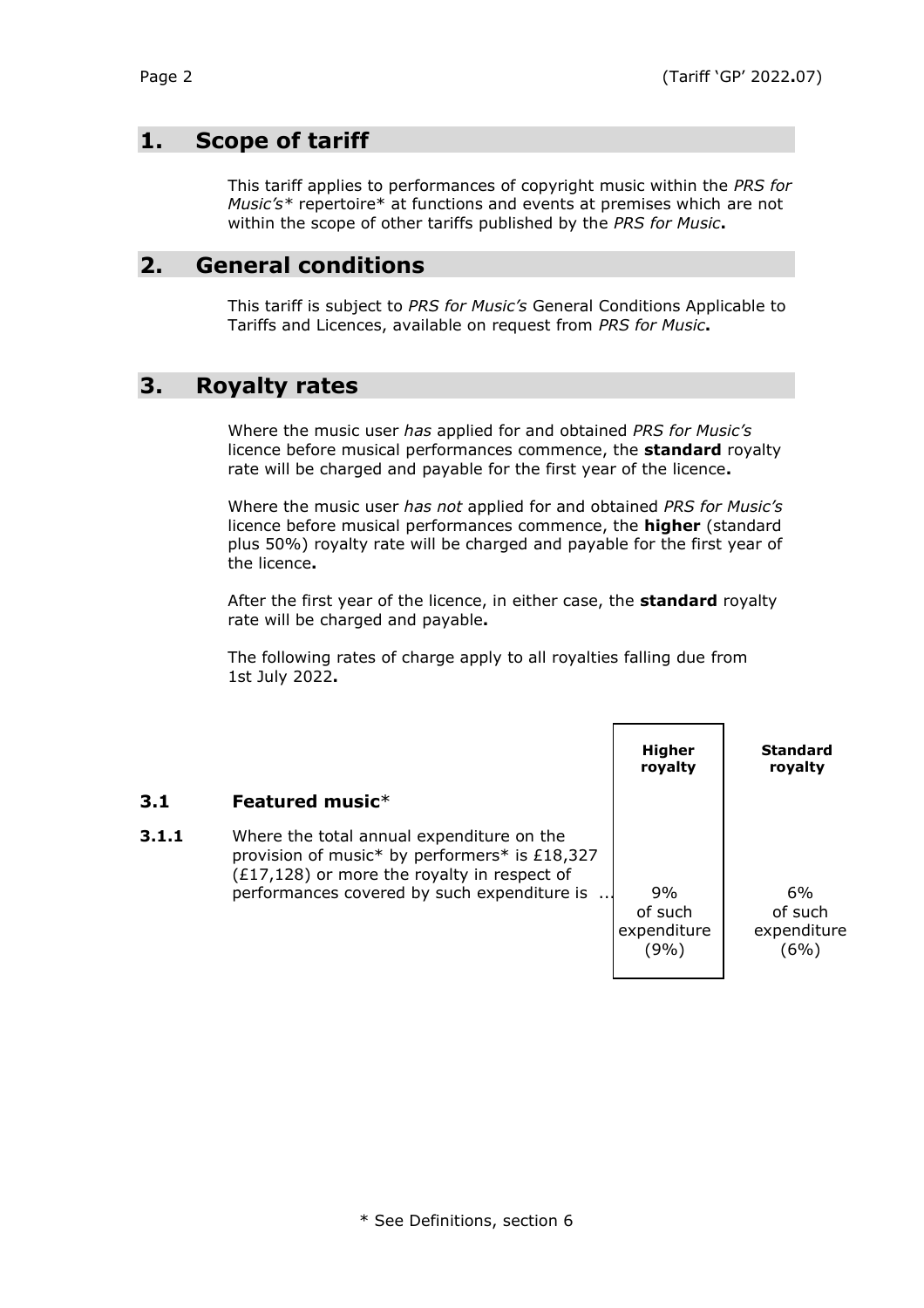# **1. Scope of tariff**

This tariff applies to performances of copyright music within the *PRS for Music's\** repertoire\* at functions and events at premises which are not within the scope of other tariffs published by the *PRS for Music***.**

## **2. General conditions**

This tariff is subject to *PRS for Music's* General Conditions Applicable to Tariffs and Licences, available on request from *PRS for Music***.**

## **3. Royalty rates**

Where the music user *has* applied for and obtained *PRS for Music's* licence before musical performances commence, the **standard** royalty rate will be charged and payable for the first year of the licence**.**

Where the music user *has not* applied for and obtained *PRS for Music's* licence before musical performances commence, the **higher** (standard plus 50%) royalty rate will be charged and payable for the first year of the licence**.**

After the first year of the licence, in either case, the **standard** royalty rate will be charged and payable**.**

The following rates of charge apply to all royalties falling due from 1st July 2022**.**

|       |                                                                                                                                                                                            | Higher<br>royalty                    | <b>Standard</b><br>royalty           |
|-------|--------------------------------------------------------------------------------------------------------------------------------------------------------------------------------------------|--------------------------------------|--------------------------------------|
| 3.1   | Featured music $*$                                                                                                                                                                         |                                      |                                      |
| 3.1.1 | Where the total annual expenditure on the<br>provision of music* by performers* is £18,327<br>$(£17,128)$ or more the royalty in respect of<br>performances covered by such expenditure is | 9%<br>of such<br>expenditure<br>(9%) | 6%<br>of such<br>expenditure<br>(6%) |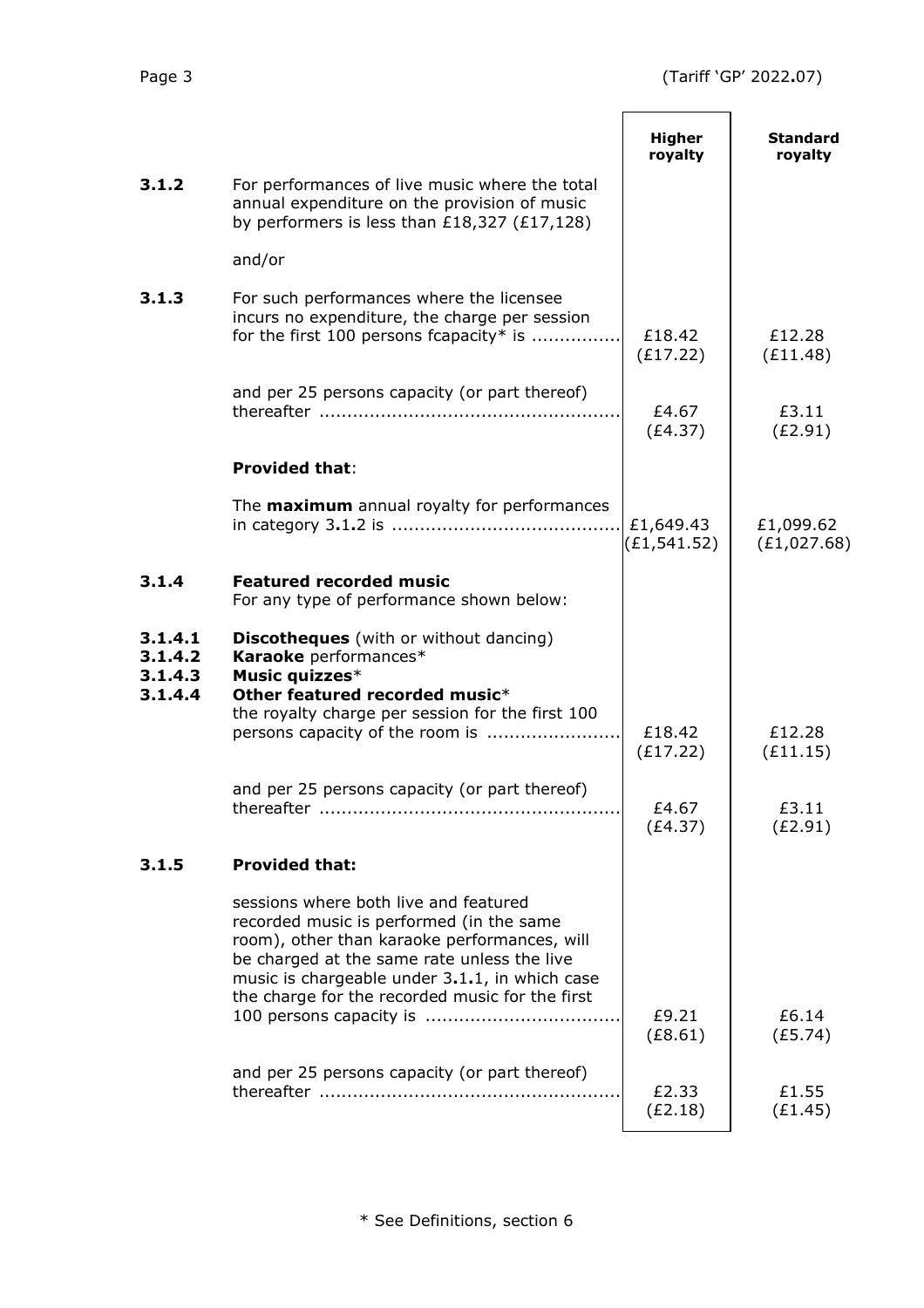|                                          |                                                                                                                                                                                                                                                                                       | <b>Higher</b><br>royalty  | <b>Standard</b><br>royalty |
|------------------------------------------|---------------------------------------------------------------------------------------------------------------------------------------------------------------------------------------------------------------------------------------------------------------------------------------|---------------------------|----------------------------|
| 3.1.2                                    | For performances of live music where the total<br>annual expenditure on the provision of music<br>by performers is less than $£18,327$ (£17,128)                                                                                                                                      |                           |                            |
|                                          | and/or                                                                                                                                                                                                                                                                                |                           |                            |
| 3.1.3                                    | For such performances where the licensee<br>incurs no expenditure, the charge per session<br>for the first 100 persons fcapacity* is                                                                                                                                                  | £18.42<br>(E17.22)        | £12.28<br>(E11.48)         |
|                                          | and per 25 persons capacity (or part thereof)                                                                                                                                                                                                                                         | £4.67<br>(E4.37)          | £3.11<br>(E2.91)           |
|                                          | <b>Provided that:</b>                                                                                                                                                                                                                                                                 |                           |                            |
|                                          | The <b>maximum</b> annual royalty for performances                                                                                                                                                                                                                                    | £1,649.43<br>(E1, 541.52) | £1,099.62<br>(E1, 027.68)  |
| 3.1.4                                    | <b>Featured recorded music</b><br>For any type of performance shown below:                                                                                                                                                                                                            |                           |                            |
| 3.1.4.1<br>3.1.4.2<br>3.1.4.3<br>3.1.4.4 | <b>Discotheques</b> (with or without dancing)<br>Karaoke performances*<br>Music quizzes*<br>Other featured recorded music*<br>the royalty charge per session for the first 100                                                                                                        | £18.42<br>(E17.22)        | £12.28<br>(E11.15)         |
|                                          | and per 25 persons capacity (or part thereof)                                                                                                                                                                                                                                         | £4.67<br>(E4.37)          | £3.11<br>(E2.91)           |
| 3.1.5                                    | <b>Provided that:</b>                                                                                                                                                                                                                                                                 |                           |                            |
|                                          | sessions where both live and featured<br>recorded music is performed (in the same<br>room), other than karaoke performances, will<br>be charged at the same rate unless the live<br>music is chargeable under 3.1.1, in which case<br>the charge for the recorded music for the first | £9.21<br>(E8.61)          | £6.14<br>(E5.74)           |
|                                          | and per 25 persons capacity (or part thereof)                                                                                                                                                                                                                                         | £2.33<br>(E2.18)          | £1.55<br>(E1.45)           |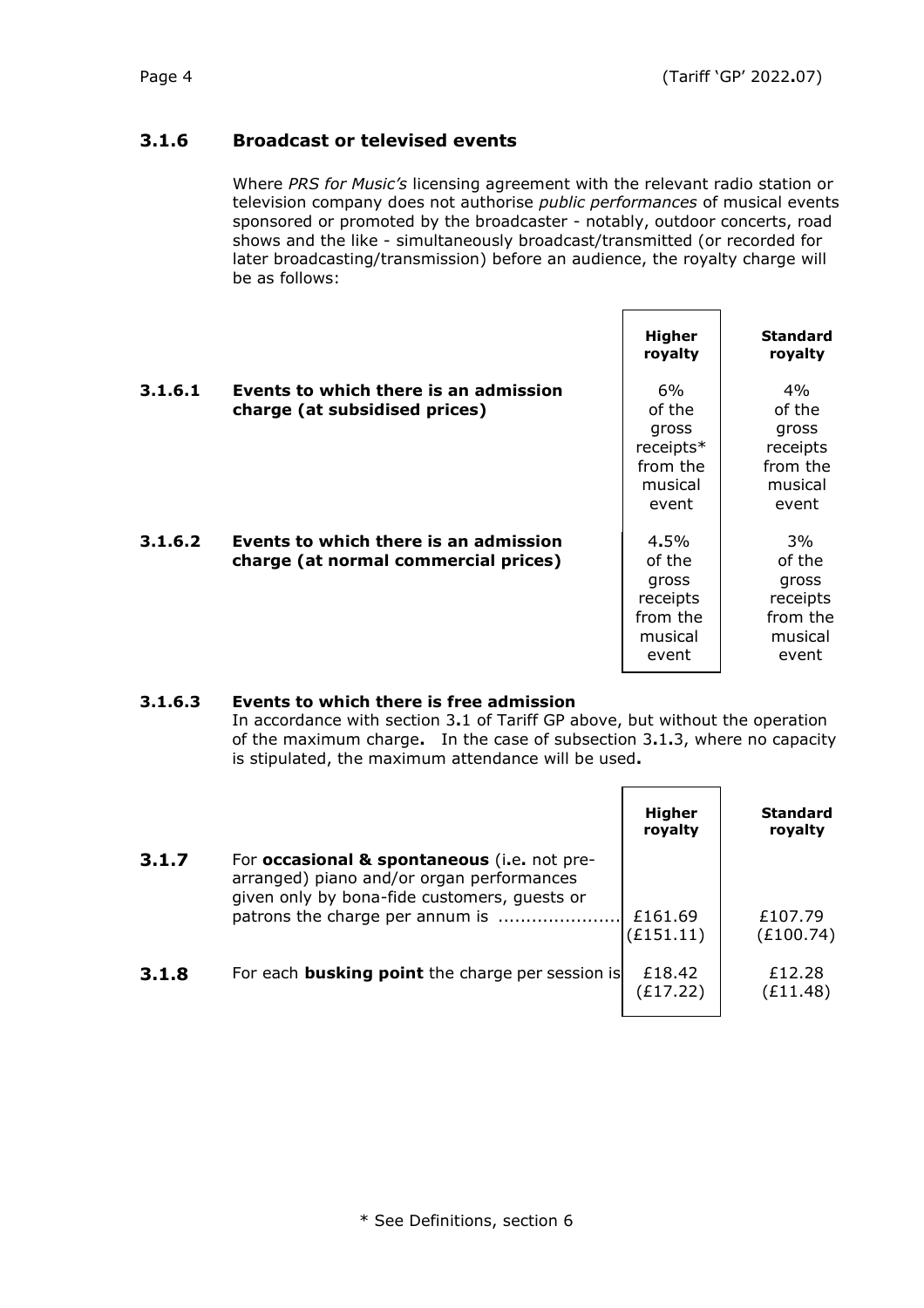### **3.1.6 Broadcast or televised events**

Where *PRS for Music's* licensing agreement with the relevant radio station or television company does not authorise *public performances* of musical events sponsored or promoted by the broadcaster - notably, outdoor concerts, road shows and the like - simultaneously broadcast/transmitted (or recorded for later broadcasting/transmission) before an audience, the royalty charge will be as follows:

|         |                                                                               | Higher<br>royalty                                                   | <b>Standard</b><br>royalty                                           |
|---------|-------------------------------------------------------------------------------|---------------------------------------------------------------------|----------------------------------------------------------------------|
| 3.1.6.1 | Events to which there is an admission<br>charge (at subsidised prices)        | 6%<br>of the<br>gross<br>receipts*<br>from the<br>musical<br>event  | 4%<br>of the<br>gross<br>receipts<br>from the<br>musical<br>event    |
| 3.1.6.2 | Events to which there is an admission<br>charge (at normal commercial prices) | 4.5%<br>of the<br>gross<br>receipts<br>from the<br>musical<br>event | $3\%$<br>of the<br>gross<br>receipts<br>from the<br>musical<br>event |

### **3.1.6.3 Events to which there is free admission**

In accordance with section 3**.**1 of Tariff GP above, but without the operation of the maximum charge**.** In the case of subsection 3**.**1**.**3, where no capacity is stipulated, the maximum attendance will be used**.**

|       |                                                                                                                                          | <b>Higher</b><br>royalty | <b>Standard</b><br>royalty |
|-------|------------------------------------------------------------------------------------------------------------------------------------------|--------------------------|----------------------------|
| 3.1.7 | For occasional & spontaneous (i.e. not pre-<br>arranged) piano and/or organ performances<br>given only by bona-fide customers, guests or | £161.69                  | £107.79                    |
|       |                                                                                                                                          | (E151.11)                | (E100.74)                  |
| 3.1.8 | For each <b>busking point</b> the charge per session is                                                                                  | £18.42<br>(£17.22)       | £12.28<br>(£11.48)         |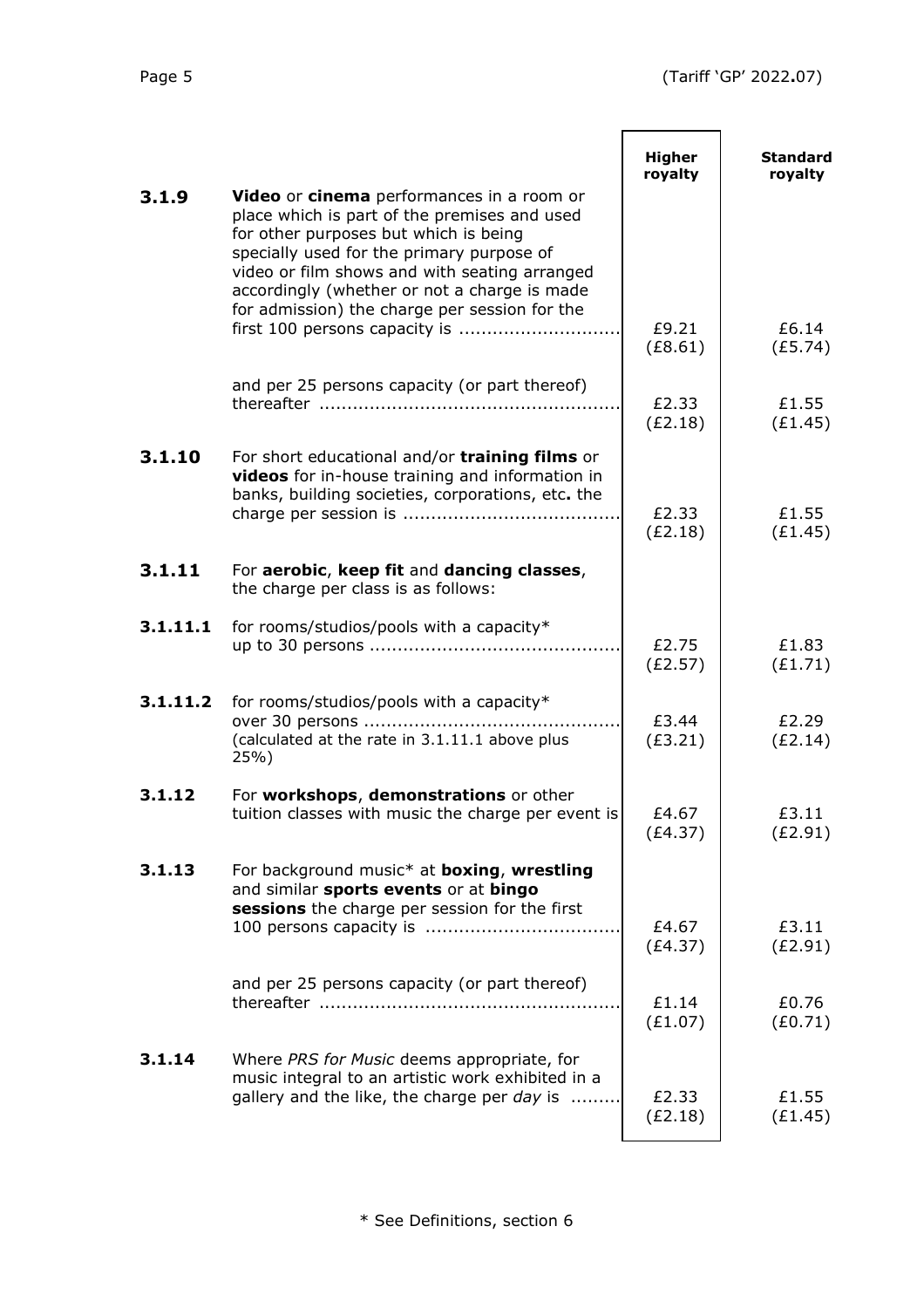$\overline{\phantom{a}}$ 

 $\blacksquare$ 

|          |                                                                                                                                                                                                                                                                                                                                   | <b>Higher</b><br>royalty | <b>Standard</b><br>royalty |
|----------|-----------------------------------------------------------------------------------------------------------------------------------------------------------------------------------------------------------------------------------------------------------------------------------------------------------------------------------|--------------------------|----------------------------|
| 3.1.9    | Video or cinema performances in a room or<br>place which is part of the premises and used<br>for other purposes but which is being<br>specially used for the primary purpose of<br>video or film shows and with seating arranged<br>accordingly (whether or not a charge is made<br>for admission) the charge per session for the |                          |                            |
|          |                                                                                                                                                                                                                                                                                                                                   | £9.21<br>(E8.61)         | £6.14<br>(E5.74)           |
|          | and per 25 persons capacity (or part thereof)                                                                                                                                                                                                                                                                                     | £2.33<br>(E2.18)         | £1.55<br>(E1.45)           |
| 3.1.10   | For short educational and/or training films or<br>videos for in-house training and information in<br>banks, building societies, corporations, etc. the                                                                                                                                                                            | £2.33<br>(E2.18)         | £1.55<br>(E1.45)           |
| 3.1.11   | For aerobic, keep fit and dancing classes,<br>the charge per class is as follows:                                                                                                                                                                                                                                                 |                          |                            |
| 3.1.11.1 | for rooms/studios/pools with a capacity*                                                                                                                                                                                                                                                                                          | £2.75<br>(E2.57)         | £1.83<br>(E1.71)           |
| 3.1.11.2 | for rooms/studios/pools with a capacity*<br>over 30 persons<br>(calculated at the rate in 3.1.11.1 above plus<br>25%)                                                                                                                                                                                                             | £3.44<br>(E3.21)         | £2.29<br>(E2.14)           |
| 3.1.12   | For workshops, demonstrations or other<br>tuition classes with music the charge per event is                                                                                                                                                                                                                                      | £4.67<br>(E4.37)         | £3.11<br>(E2.91)           |
| 3.1.13   | For background music* at <b>boxing</b> , wrestling<br>and similar sports events or at bingo<br>sessions the charge per session for the first                                                                                                                                                                                      | £4.67                    | £3.11                      |
|          |                                                                                                                                                                                                                                                                                                                                   | (E4.37)                  | (E2.91)                    |
|          | and per 25 persons capacity (or part thereof)                                                                                                                                                                                                                                                                                     | £1.14<br>(E1.07)         | £0.76<br>(E0.71)           |
| 3.1.14   | Where PRS for Music deems appropriate, for<br>music integral to an artistic work exhibited in a<br>gallery and the like, the charge per day is                                                                                                                                                                                    | £2.33<br>(E2.18)         | £1.55<br>(E1.45)           |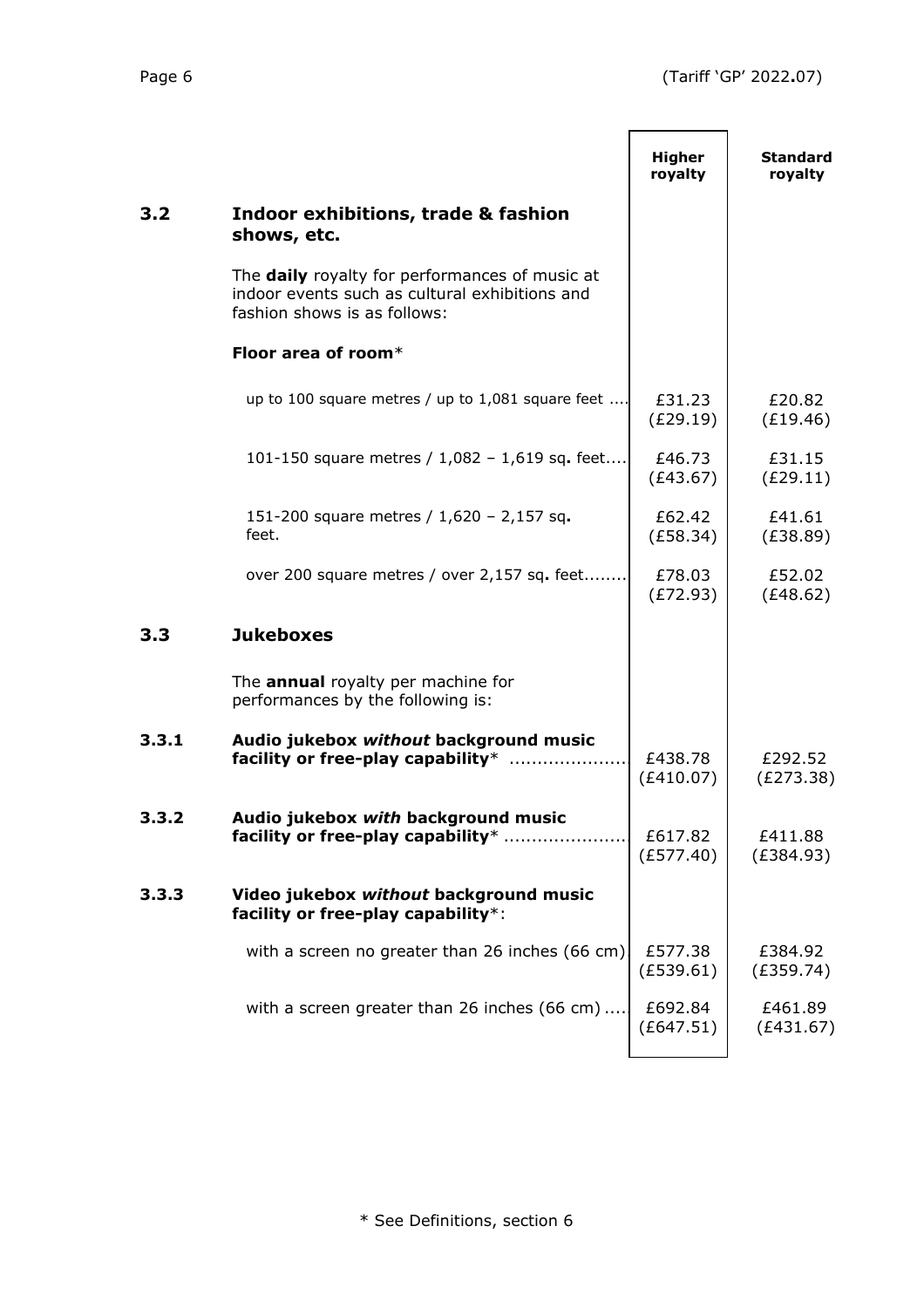|       |                                                                                                                                  | <b>Higher</b><br>royalty | <b>Standard</b><br>royalty |
|-------|----------------------------------------------------------------------------------------------------------------------------------|--------------------------|----------------------------|
| 3.2   | Indoor exhibitions, trade & fashion<br>shows, etc.                                                                               |                          |                            |
|       | The daily royalty for performances of music at<br>indoor events such as cultural exhibitions and<br>fashion shows is as follows: |                          |                            |
|       | Floor area of room $*$                                                                                                           |                          |                            |
|       | up to 100 square metres / up to 1,081 square feet                                                                                | £31.23<br>(E29.19)       | £20.82<br>(E19.46)         |
|       | 101-150 square metres / 1,082 - 1,619 sq. feet                                                                                   | £46.73<br>(E43.67)       | £31.15<br>(E29.11)         |
|       | 151-200 square metres / 1,620 - 2,157 sq.<br>feet.                                                                               | £62.42<br>(E58.34)       | £41.61<br>(E38.89)         |
|       | over 200 square metres / over 2,157 sq. feet                                                                                     | £78.03<br>(E72.93)       | £52.02<br>(E48.62)         |
| 3.3   | <b>Jukeboxes</b>                                                                                                                 |                          |                            |
|       | The <b>annual</b> royalty per machine for<br>performances by the following is:                                                   |                          |                            |
| 3.3.1 | Audio jukebox without background music<br>facility or free-play capability*                                                      | £438.78<br>(E410.07)     | £292.52<br>(E273.38)       |
| 3.3.2 | Audio jukebox with background music<br>facility or free-play capability*                                                         | £617.82<br>(E577.40)     | £411.88<br>(E384.93)       |
| 3.3.3 | Video jukebox without background music<br>facility or free-play capability*:                                                     |                          |                            |
|       | with a screen no greater than 26 inches (66 cm).                                                                                 | £577.38<br>(E539.61)     | £384.92<br>(E359.74)       |
|       | with a screen greater than 26 inches (66 cm)                                                                                     | £692.84<br>(E647.51)     | £461.89<br>(E431.67)       |
|       |                                                                                                                                  |                          |                            |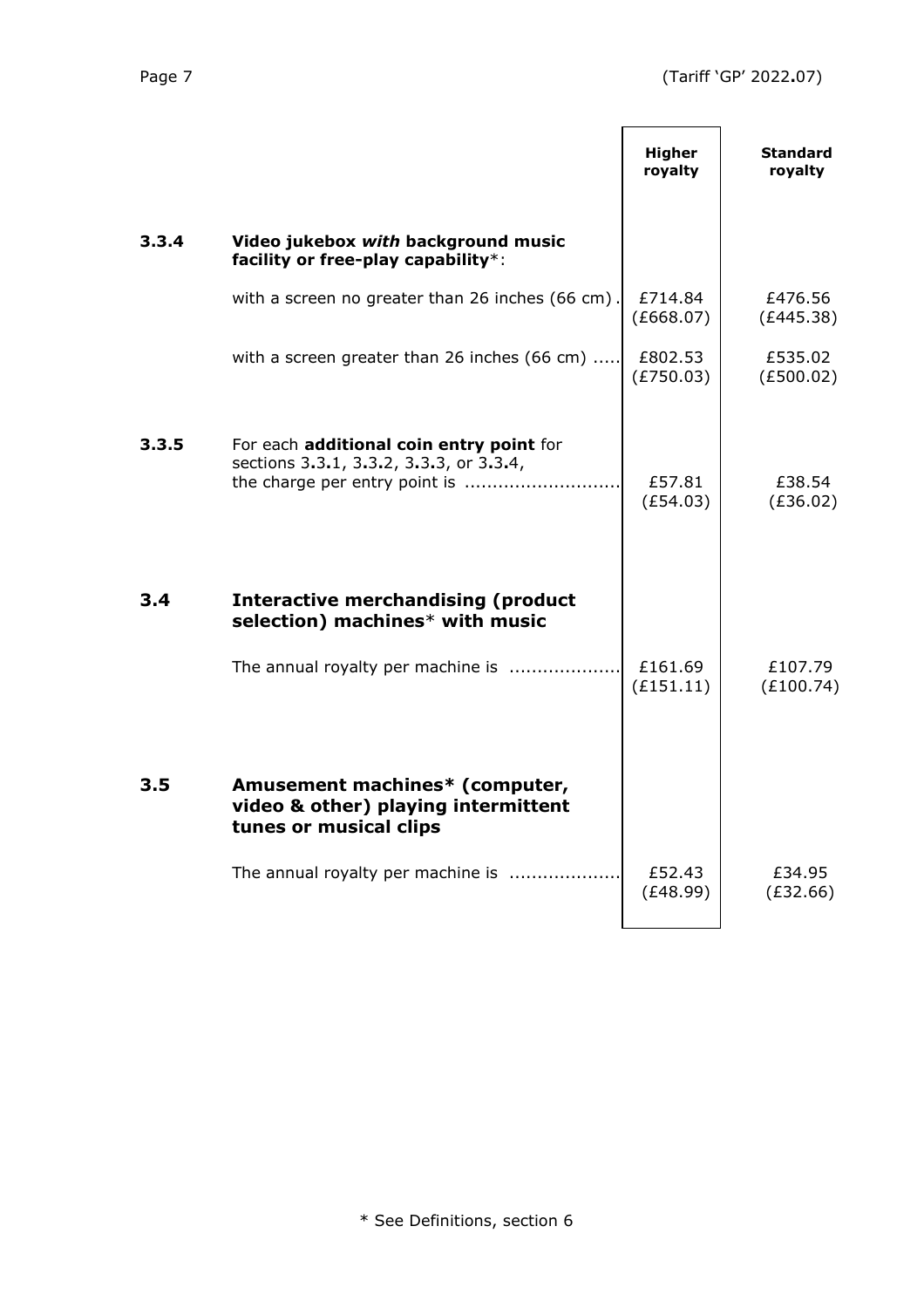|       |                                                                                                                      | <b>Higher</b><br>royalty | <b>Standard</b><br>royalty |
|-------|----------------------------------------------------------------------------------------------------------------------|--------------------------|----------------------------|
| 3.3.4 | Video jukebox with background music<br>facility or free-play capability*:                                            |                          |                            |
|       | with a screen no greater than 26 inches (66 cm).                                                                     | £714.84<br>(E668.07)     | £476.56<br>(E445.38)       |
|       | with a screen greater than 26 inches (66 cm)                                                                         | £802.53<br>(E750.03)     | £535.02<br>(E500.02)       |
| 3.3.5 | For each additional coin entry point for<br>sections 3.3.1, 3.3.2, 3.3.3, or 3.3.4,<br>the charge per entry point is | £57.81<br>(E54.03)       | £38.54<br>(E36.02)         |
| 3.4   | <b>Interactive merchandising (product</b><br>selection) machines* with music                                         |                          |                            |
|       | The annual royalty per machine is                                                                                    | £161.69<br>(E151.11)     | £107.79<br>(E100.74)       |
| 3.5   | Amusement machines* (computer,<br>video & other) playing intermittent<br>tunes or musical clips                      |                          |                            |
|       | The annual royalty per machine is                                                                                    | £52.43<br>(E48.99)       | £34.95<br>(E32.66)         |
|       |                                                                                                                      |                          |                            |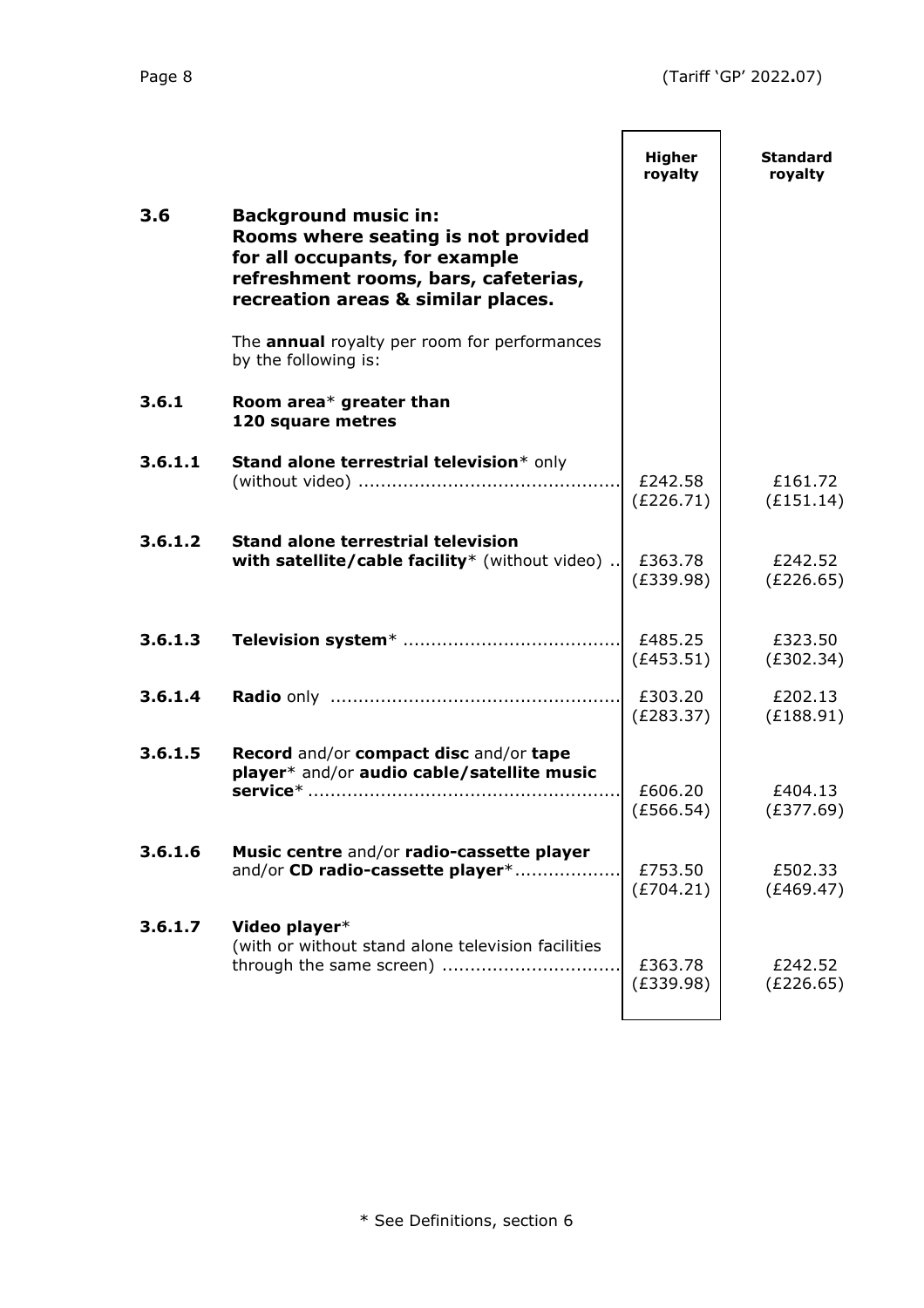|         |                                                                                                                                                                                    | <b>Higher</b><br>royalty | <b>Standard</b><br>royalty |
|---------|------------------------------------------------------------------------------------------------------------------------------------------------------------------------------------|--------------------------|----------------------------|
| 3.6     | <b>Background music in:</b><br>Rooms where seating is not provided<br>for all occupants, for example<br>refreshment rooms, bars, cafeterias,<br>recreation areas & similar places. |                          |                            |
|         | The <b>annual</b> royalty per room for performances<br>by the following is:                                                                                                        |                          |                            |
| 3.6.1   | Room area* greater than<br>120 square metres                                                                                                                                       |                          |                            |
| 3.6.1.1 | Stand alone terrestrial television* only                                                                                                                                           | £242.58<br>(E226.71)     | £161.72<br>(E151.14)       |
| 3.6.1.2 | <b>Stand alone terrestrial television</b><br>with satellite/cable facility* (without video)                                                                                        | £363.78<br>(E339.98)     | £242.52<br>(E226.65)       |
| 3.6.1.3 |                                                                                                                                                                                    | £485.25<br>(E453.51)     | £323.50<br>(E302.34)       |
| 3.6.1.4 |                                                                                                                                                                                    | £303.20<br>(E283.37)     | £202.13<br>(E188.91)       |
| 3.6.1.5 | Record and/or compact disc and/or tape<br>player* and/or audio cable/satellite music                                                                                               | £606.20<br>(E566.54)     | £404.13<br>(E377.69)       |
| 3.6.1.6 | Music centre and/or radio-cassette player<br>and/or CD radio-cassette player*                                                                                                      | £753.50<br>(E704.21)     | £502.33<br>(E469.47)       |
| 3.6.1.7 | Video player*<br>(with or without stand alone television facilities<br>through the same screen)                                                                                    | £363.78<br>(E339.98)     | £242.52<br>(E226.65)       |
|         |                                                                                                                                                                                    |                          |                            |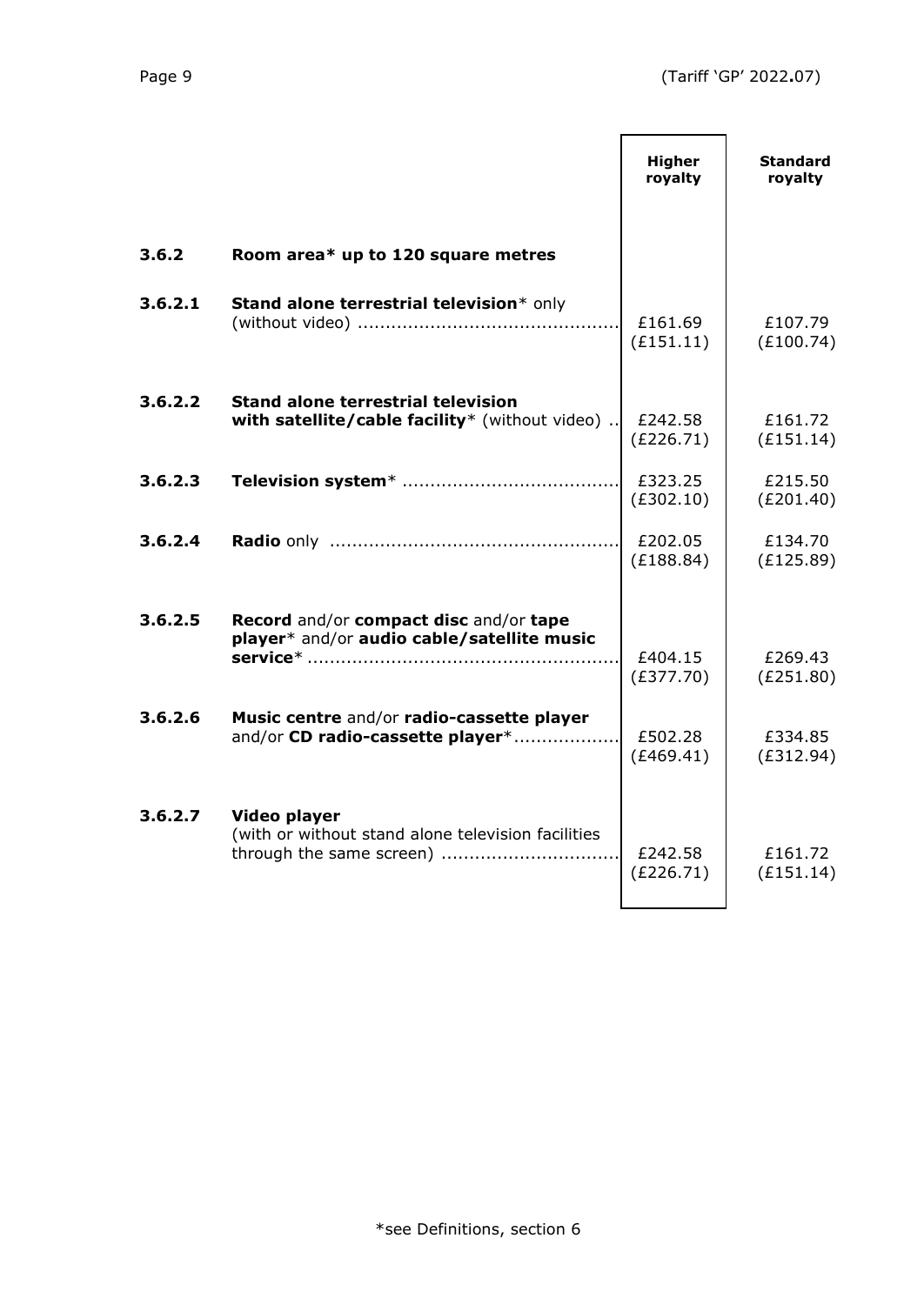|         |                                                                                                | <b>Higher</b><br>royalty | <b>Standard</b><br>royalty |
|---------|------------------------------------------------------------------------------------------------|--------------------------|----------------------------|
| 3.6.2   | Room area* up to 120 square metres                                                             |                          |                            |
| 3.6.2.1 | Stand alone terrestrial television* only                                                       | £161.69<br>(E151.11)     | £107.79<br>(E100.74)       |
| 3.6.2.2 | <b>Stand alone terrestrial television</b><br>with satellite/cable facility* (without video)    | £242.58<br>(E226.71)     | £161.72<br>(E151.14)       |
| 3.6.2.3 |                                                                                                | £323.25<br>(E302.10)     | £215.50<br>(E201.40)       |
| 3.6.2.4 |                                                                                                | £202.05<br>(E188.84)     | £134.70<br>(E125.89)       |
| 3.6.2.5 | Record and/or compact disc and/or tape<br>player* and/or audio cable/satellite music           | £404.15<br>(E377.70)     | £269.43<br>(E251.80)       |
| 3.6.2.6 | Music centre and/or radio-cassette player<br>and/or CD radio-cassette player*                  | £502.28<br>(E469.41)     | £334.85<br>(E312.94)       |
| 3.6.2.7 | Video player<br>(with or without stand alone television facilities<br>through the same screen) | £242.58<br>(E226.71)     | £161.72<br>(E151.14)       |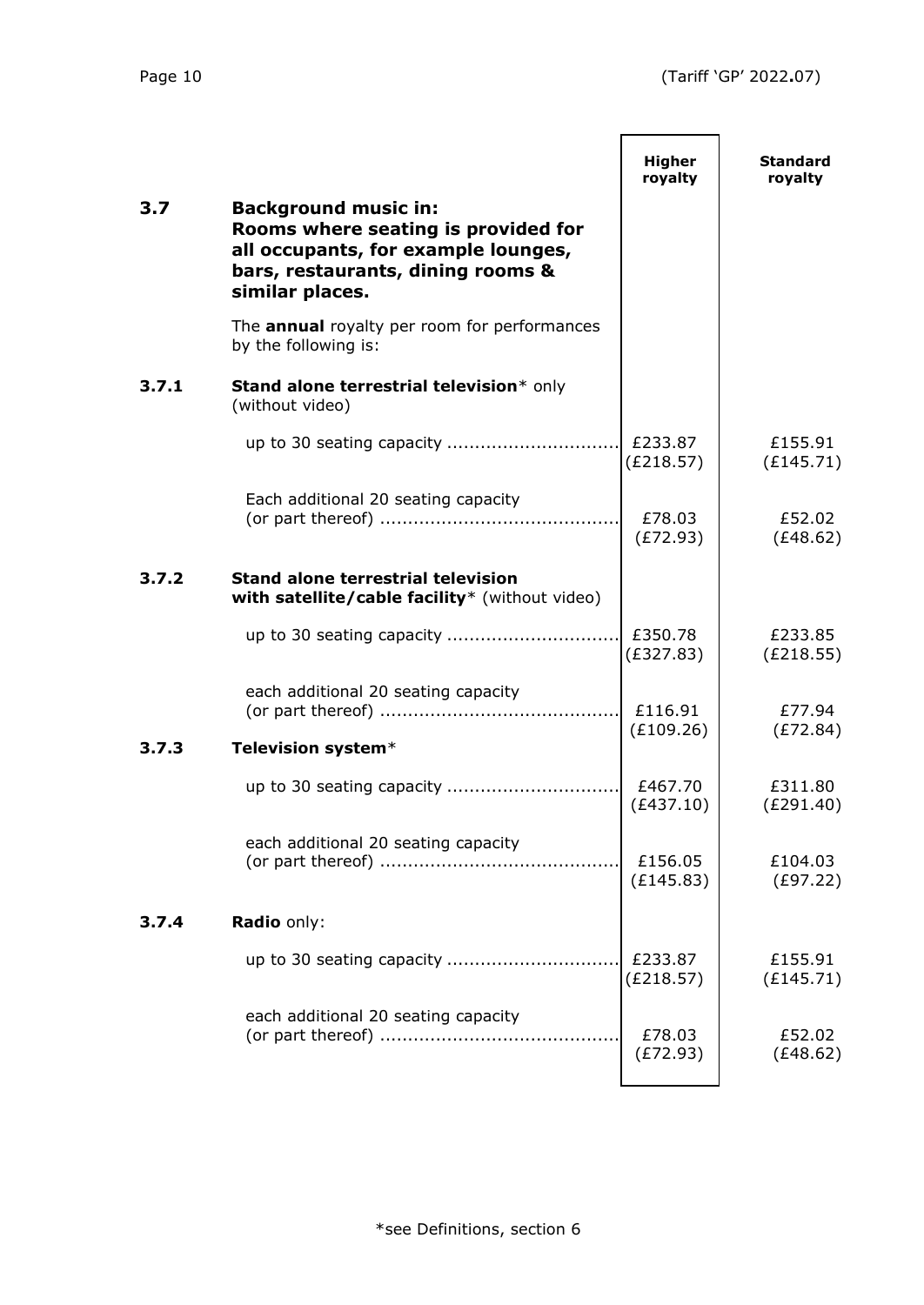|       |                                                                                                                                                                   | <b>Higher</b><br>royalty | <b>Standard</b><br>royalty |
|-------|-------------------------------------------------------------------------------------------------------------------------------------------------------------------|--------------------------|----------------------------|
| 3.7   | <b>Background music in:</b><br>Rooms where seating is provided for<br>all occupants, for example lounges,<br>bars, restaurants, dining rooms &<br>similar places. |                          |                            |
|       | The <b>annual</b> royalty per room for performances<br>by the following is:                                                                                       |                          |                            |
| 3.7.1 | Stand alone terrestrial television* only<br>(without video)                                                                                                       |                          |                            |
|       |                                                                                                                                                                   | £233.87<br>(E218.57)     | £155.91<br>(E145.71)       |
|       | Each additional 20 seating capacity                                                                                                                               | £78.03<br>(E72.93)       | £52.02<br>(E48.62)         |
| 3.7.2 | <b>Stand alone terrestrial television</b><br>with satellite/cable facility* (without video)                                                                       |                          |                            |
|       |                                                                                                                                                                   | £350.78<br>(E327.83)     | £233.85<br>(E218.55)       |
|       | each additional 20 seating capacity                                                                                                                               | £116.91<br>(E109.26)     | £77.94<br>(E72.84)         |
| 3.7.3 | Television system*                                                                                                                                                |                          |                            |
|       |                                                                                                                                                                   | £467.70<br>(E437.10)     | £311.80<br>(E291.40)       |
|       | each additional 20 seating capacity                                                                                                                               | £156.05<br>(E145.83)     | £104.03<br>(E97.22)        |
| 3.7.4 | Radio only:                                                                                                                                                       |                          |                            |
|       |                                                                                                                                                                   | £233.87<br>(E218.57)     | £155.91<br>(E145.71)       |
|       | each additional 20 seating capacity                                                                                                                               | £78.03<br>(E72.93)       | £52.02<br>(E48.62)         |
|       |                                                                                                                                                                   |                          |                            |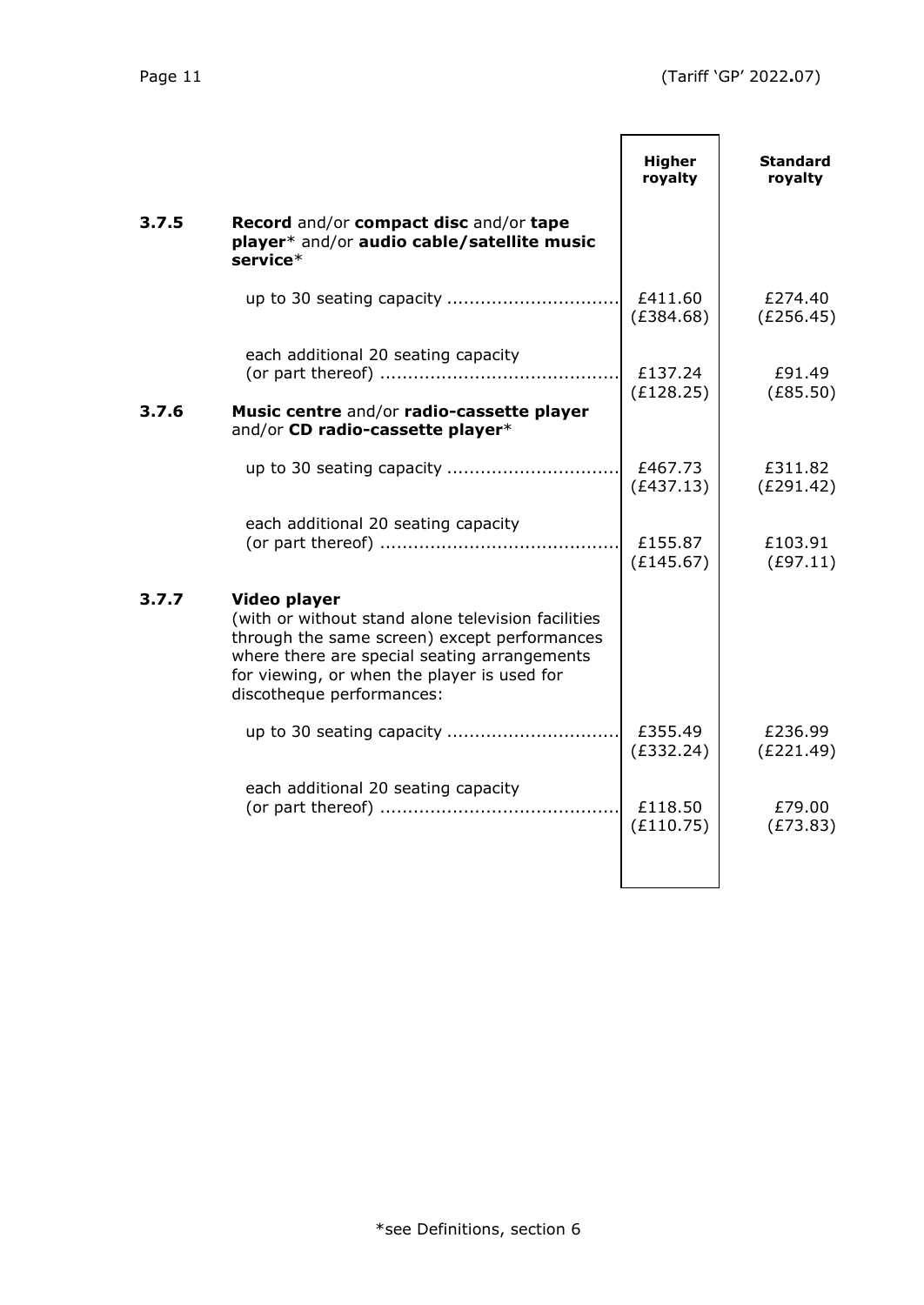|       |                                                                                                                                                                                                                                                | <b>Higher</b><br>royalty | <b>Standard</b><br>royalty |
|-------|------------------------------------------------------------------------------------------------------------------------------------------------------------------------------------------------------------------------------------------------|--------------------------|----------------------------|
| 3.7.5 | <b>Record and/or compact disc and/or tape</b><br>player* and/or audio cable/satellite music<br>service*                                                                                                                                        |                          |                            |
|       |                                                                                                                                                                                                                                                | £411.60<br>(E384.68)     | £274.40<br>(E256.45)       |
| 3.7.6 | each additional 20 seating capacity<br>Music centre and/or radio-cassette player<br>and/or CD radio-cassette player*                                                                                                                           | £137.24<br>(E128.25)     | £91.49<br>(E85.50)         |
|       |                                                                                                                                                                                                                                                | £467.73<br>(E437.13)     | £311.82<br>(E291.42)       |
|       | each additional 20 seating capacity                                                                                                                                                                                                            | £155.87<br>(E145.67)     | £103.91<br>(E97.11)        |
| 3.7.7 | Video player<br>(with or without stand alone television facilities<br>through the same screen) except performances<br>where there are special seating arrangements<br>for viewing, or when the player is used for<br>discotheque performances: |                          |                            |
|       |                                                                                                                                                                                                                                                | £355.49<br>(E332.24)     | £236.99<br>(E221.49)       |
|       | each additional 20 seating capacity                                                                                                                                                                                                            | £118.50<br>(E110.75)     | £79.00<br>(E73.83)         |
|       |                                                                                                                                                                                                                                                |                          |                            |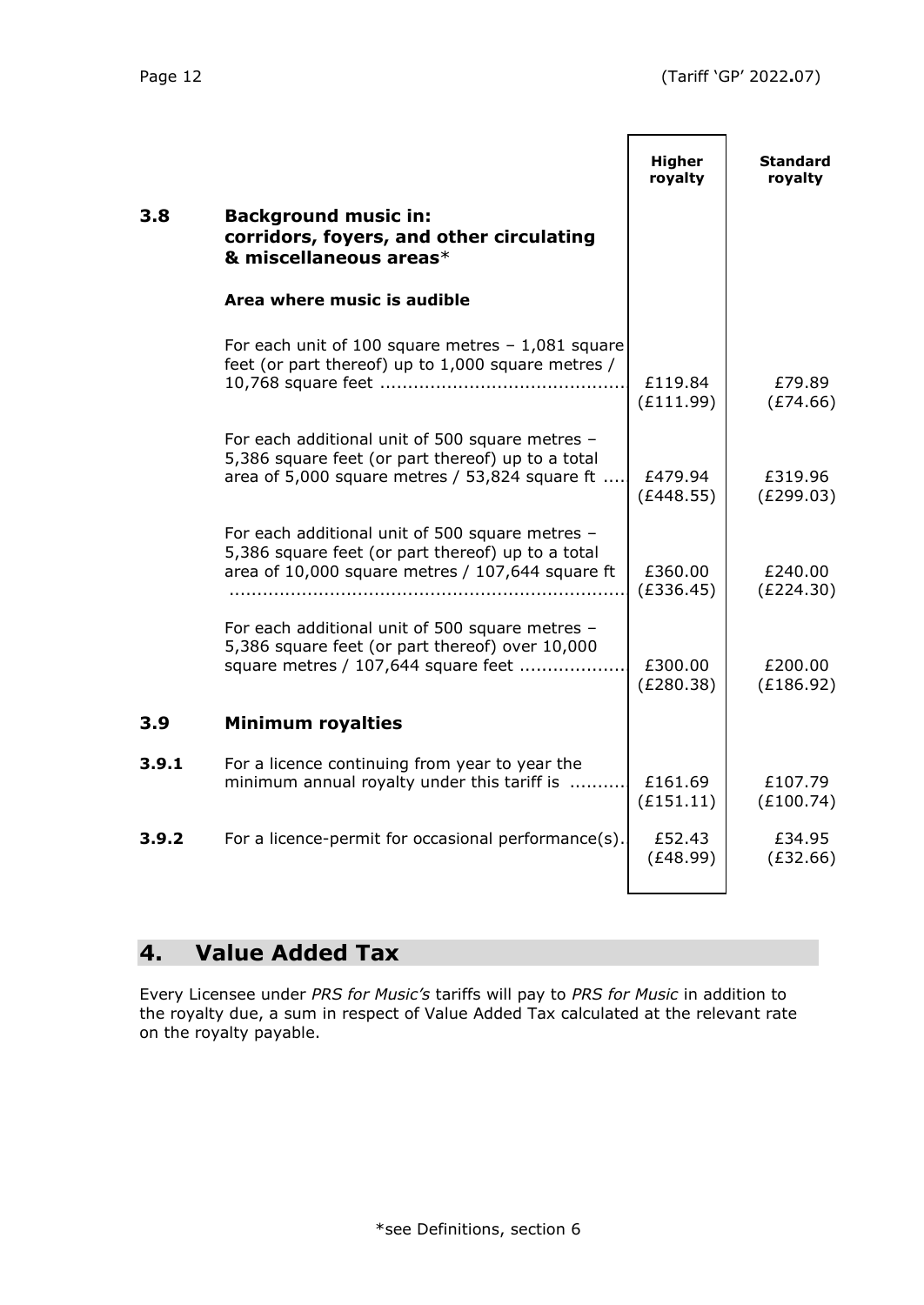|       |                                                                                                                                                          | <b>Higher</b><br>royalty | <b>Standard</b><br>royalty |
|-------|----------------------------------------------------------------------------------------------------------------------------------------------------------|--------------------------|----------------------------|
| 3.8   | <b>Background music in:</b><br>corridors, foyers, and other circulating<br>& miscellaneous areas*                                                        |                          |                            |
|       | Area where music is audible                                                                                                                              |                          |                            |
|       | For each unit of 100 square metres $-1,081$ square<br>feet (or part thereof) up to 1,000 square metres /                                                 | £119.84<br>(E111.99)     | £79.89<br>(E74.66)         |
|       | For each additional unit of 500 square metres -<br>5,386 square feet (or part thereof) up to a total<br>area of 5,000 square metres / 53,824 square ft   | £479.94<br>(E448.55)     | £319.96<br>(E299.03)       |
|       | For each additional unit of 500 square metres -<br>5,386 square feet (or part thereof) up to a total<br>area of 10,000 square metres / 107,644 square ft | £360.00<br>(E336.45)     | £240.00<br>(E224.30)       |
|       | For each additional unit of 500 square metres -<br>5,386 square feet (or part thereof) over 10,000<br>square metres / 107,644 square feet                | £300.00<br>(E280.38)     | £200.00<br>(E186.92)       |
| 3.9   | <b>Minimum royalties</b>                                                                                                                                 |                          |                            |
| 3.9.1 | For a licence continuing from year to year the<br>minimum annual royalty under this tariff is                                                            | £161.69<br>(E151.11)     | £107.79<br>(E100.74)       |
| 3.9.2 | For a licence-permit for occasional performance(s).                                                                                                      | £52.43<br>(E48.99)       | £34.95<br>(E32.66)         |
|       |                                                                                                                                                          |                          |                            |

# **4. Value Added Tax**

Every Licensee under *PRS for Music's* tariffs will pay to *PRS for Music* in addition to the royalty due, a sum in respect of Value Added Tax calculated at the relevant rate on the royalty payable.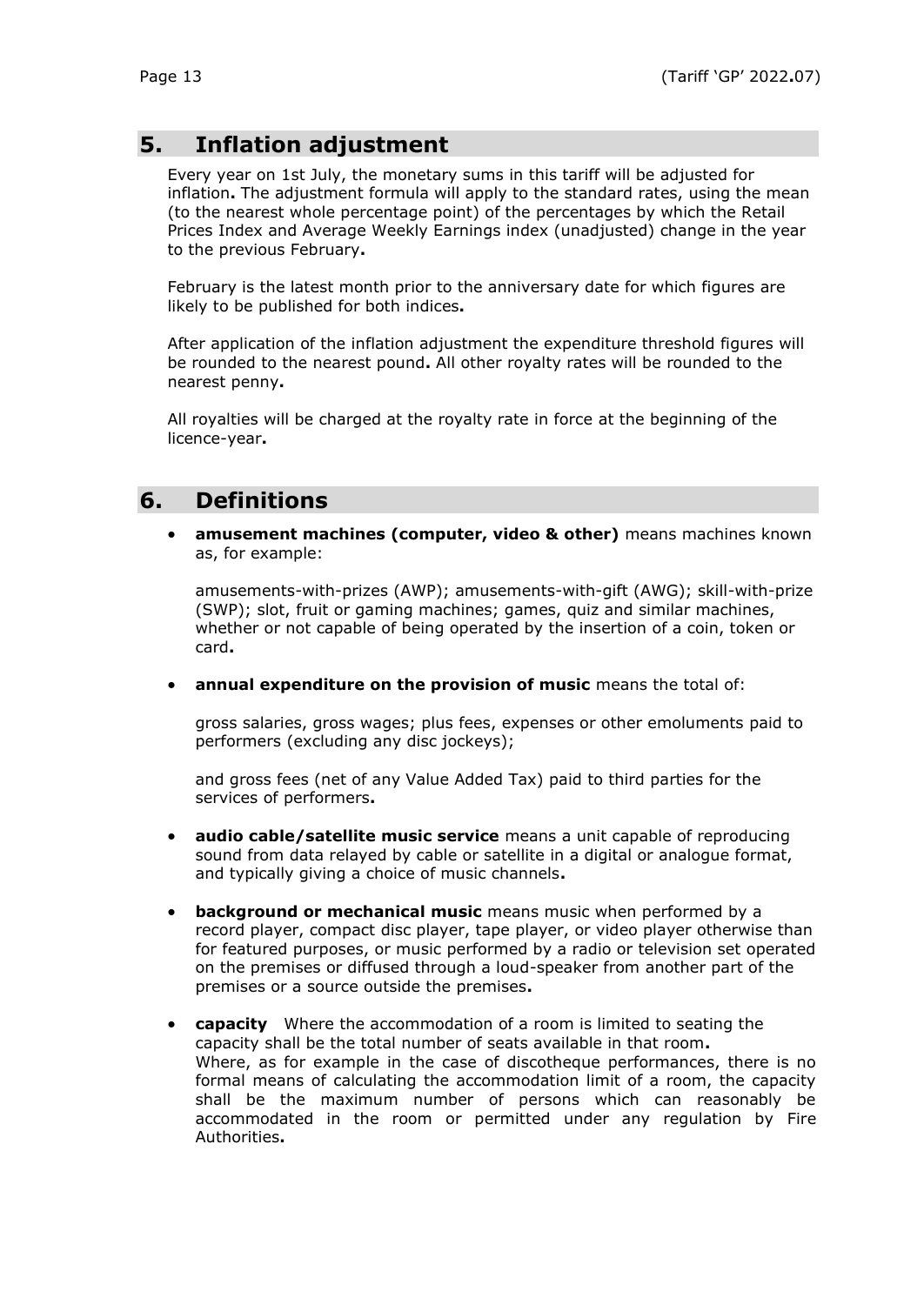# **5. Inflation adjustment**

Every year on 1st July, the monetary sums in this tariff will be adjusted for inflation**.** The adjustment formula will apply to the standard rates, using the mean (to the nearest whole percentage point) of the percentages by which the Retail Prices Index and Average Weekly Earnings index (unadjusted) change in the year to the previous February**.**

February is the latest month prior to the anniversary date for which figures are likely to be published for both indices**.**

After application of the inflation adjustment the expenditure threshold figures will be rounded to the nearest pound**.** All other royalty rates will be rounded to the nearest penny**.**

All royalties will be charged at the royalty rate in force at the beginning of the licence-year**.**

# **6. Definitions**

• **amusement machines (computer, video & other)** means machines known as, for example:

amusements-with-prizes (AWP); amusements-with-gift (AWG); skill-with-prize (SWP); slot, fruit or gaming machines; games, quiz and similar machines, whether or not capable of being operated by the insertion of a coin, token or card**.**

• **annual expenditure on the provision of music** means the total of:

gross salaries, gross wages; plus fees, expenses or other emoluments paid to performers (excluding any disc jockeys);

and gross fees (net of any Value Added Tax) paid to third parties for the services of performers**.**

- **audio cable/satellite music service** means a unit capable of reproducing sound from data relayed by cable or satellite in a digital or analogue format, and typically giving a choice of music channels**.**
- **background or mechanical music** means music when performed by a record player, compact disc player, tape player, or video player otherwise than for featured purposes, or music performed by a radio or television set operated on the premises or diffused through a loud-speaker from another part of the premises or a source outside the premises**.**
- **capacity** Where the accommodation of a room is limited to seating the capacity shall be the total number of seats available in that room**.** Where, as for example in the case of discotheque performances, there is no formal means of calculating the accommodation limit of a room, the capacity shall be the maximum number of persons which can reasonably be accommodated in the room or permitted under any regulation by Fire Authorities**.**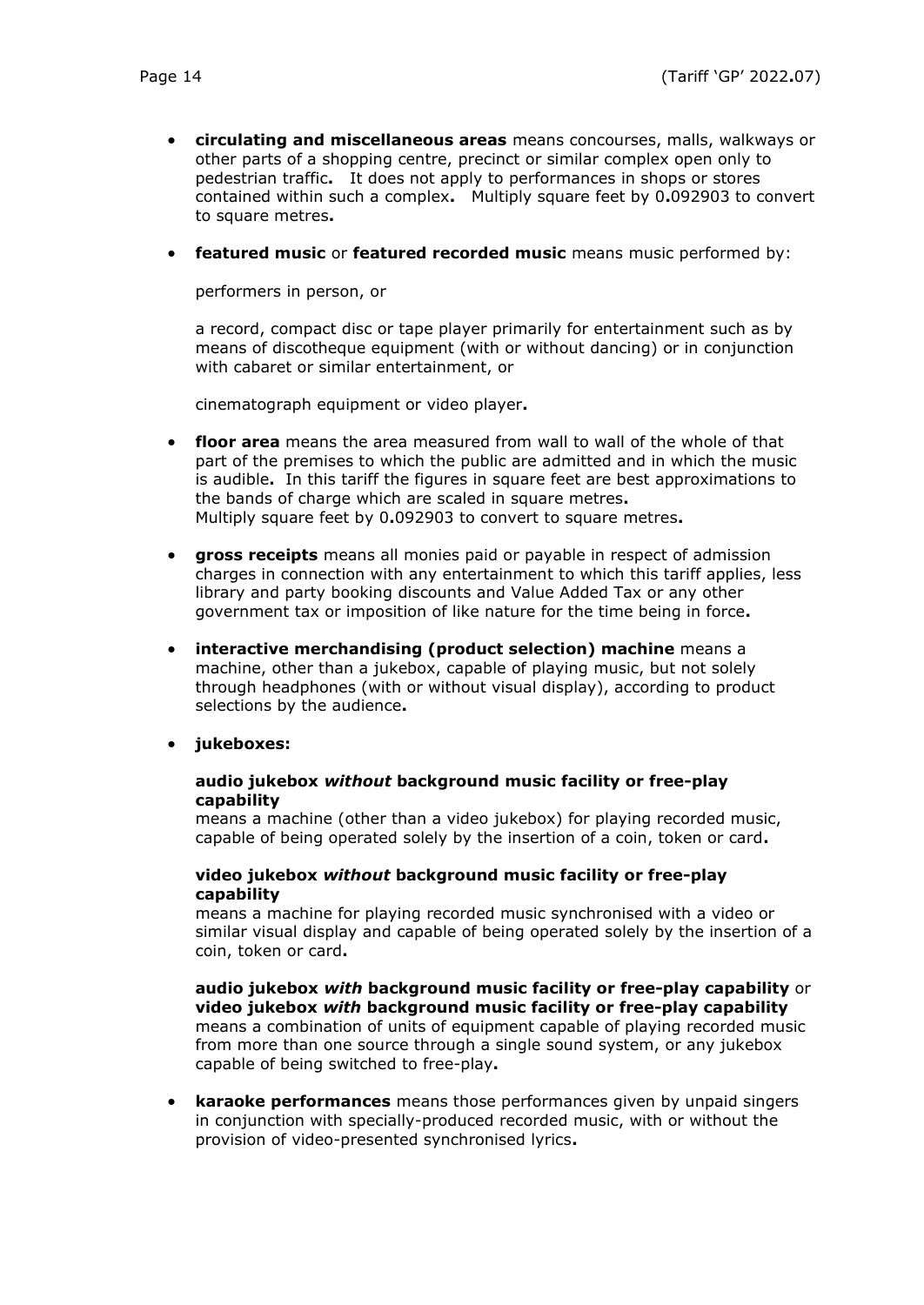- **circulating and miscellaneous areas** means concourses, malls, walkways or other parts of a shopping centre, precinct or similar complex open only to pedestrian traffic**.** It does not apply to performances in shops or stores contained within such a complex**.** Multiply square feet by 0**.**092903 to convert to square metres**.**
- **featured music** or **featured recorded music** means music performed by:

performers in person, or

a record, compact disc or tape player primarily for entertainment such as by means of discotheque equipment (with or without dancing) or in conjunction with cabaret or similar entertainment, or

cinematograph equipment or video player**.**

- **floor area** means the area measured from wall to wall of the whole of that part of the premises to which the public are admitted and in which the music is audible**.** In this tariff the figures in square feet are best approximations to the bands of charge which are scaled in square metres**.** Multiply square feet by 0**.**092903 to convert to square metres**.**
- **gross receipts** means all monies paid or payable in respect of admission charges in connection with any entertainment to which this tariff applies, less library and party booking discounts and Value Added Tax or any other government tax or imposition of like nature for the time being in force**.**
- **interactive merchandising (product selection) machine** means a machine, other than a jukebox, capable of playing music, but not solely through headphones (with or without visual display), according to product selections by the audience**.**
- **jukeboxes:**

#### **audio jukebox** *without* **background music facility or free-play capability**

means a machine (other than a video jukebox) for playing recorded music, capable of being operated solely by the insertion of a coin, token or card**.**

#### **video jukebox** *without* **background music facility or free-play capability**

means a machine for playing recorded music synchronised with a video or similar visual display and capable of being operated solely by the insertion of a coin, token or card**.**

**audio jukebox** *with* **background music facility or free-play capability** or **video jukebox** *with* **background music facility or free-play capability** means a combination of units of equipment capable of playing recorded music from more than one source through a single sound system, or any jukebox capable of being switched to free-play**.**

• **karaoke performances** means those performances given by unpaid singers in conjunction with specially-produced recorded music, with or without the provision of video-presented synchronised lyrics**.**